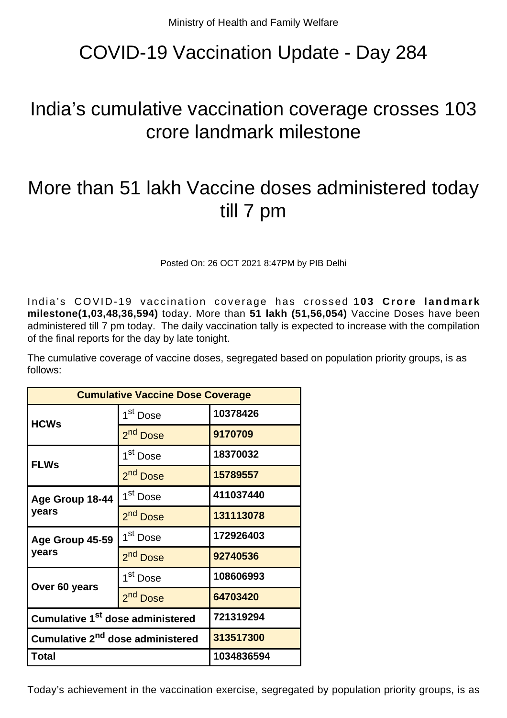## COVID-19 Vaccination Update - Day 284

## India's cumulative vaccination coverage crosses 103 crore landmark milestone

## More than 51 lakh Vaccine doses administered today till 7 pm

Posted On: 26 OCT 2021 8:47PM by PIB Delhi

India's COVID-19 vaccination coverage has crossed **103 Crore landmark milestone(1,03,48,36,594)** today. More than **51 lakh (51,56,054)** Vaccine Doses have been administered till 7 pm today. The daily vaccination tally is expected to increase with the compilation of the final reports for the day by late tonight.

The cumulative coverage of vaccine doses, segregated based on population priority groups, is as follows:

| <b>Cumulative Vaccine Dose Coverage</b>      |                      |            |  |
|----------------------------------------------|----------------------|------------|--|
| <b>HCWs</b>                                  | 1 <sup>st</sup> Dose | 10378426   |  |
|                                              | 2 <sup>nd</sup> Dose | 9170709    |  |
| <b>FLWs</b>                                  | 1 <sup>st</sup> Dose | 18370032   |  |
|                                              | 2 <sup>nd</sup> Dose | 15789557   |  |
| Age Group 18-44<br>years                     | 1 <sup>st</sup> Dose | 411037440  |  |
|                                              | 2 <sup>nd</sup> Dose | 131113078  |  |
| Age Group 45-59<br>years                     | 1 <sup>st</sup> Dose | 172926403  |  |
|                                              | 2 <sup>nd</sup> Dose | 92740536   |  |
| Over 60 years                                | 1 <sup>st</sup> Dose | 108606993  |  |
|                                              | 2 <sup>nd</sup> Dose | 64703420   |  |
| Cumulative 1 <sup>st</sup> dose administered |                      | 721319294  |  |
| Cumulative 2 <sup>nd</sup> dose administered |                      | 313517300  |  |
| Total                                        |                      | 1034836594 |  |

Today's achievement in the vaccination exercise, segregated by population priority groups, is as